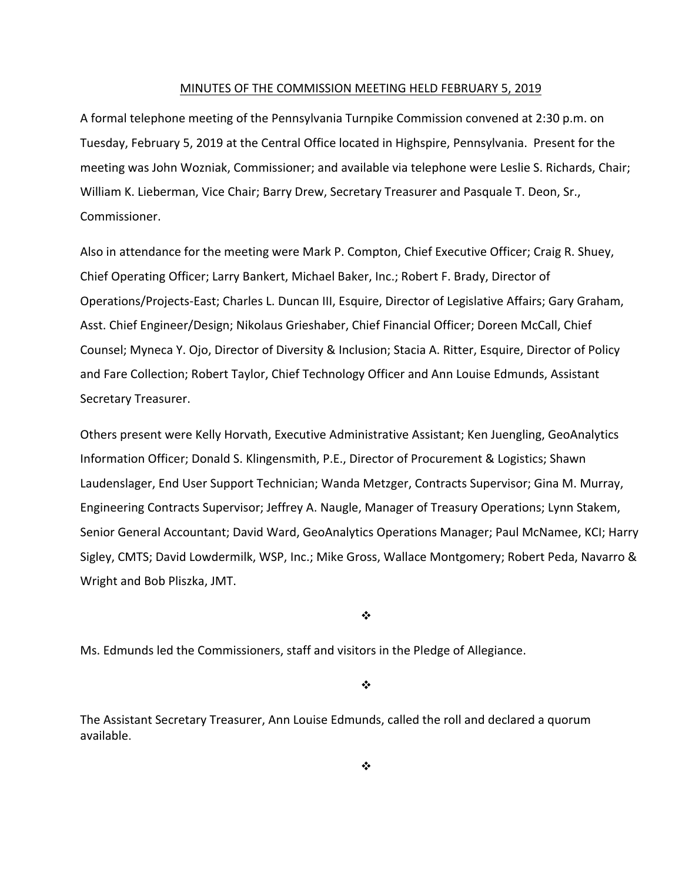#### MINUTES OF THE COMMISSION MEETING HELD FEBRUARY 5, 2019

A formal telephone meeting of the Pennsylvania Turnpike Commission convened at 2:30 p.m. on Tuesday, February 5, 2019 at the Central Office located in Highspire, Pennsylvania. Present for the meeting was John Wozniak, Commissioner; and available via telephone were Leslie S. Richards, Chair; William K. Lieberman, Vice Chair; Barry Drew, Secretary Treasurer and Pasquale T. Deon, Sr., Commissioner.

Also in attendance for the meeting were Mark P. Compton, Chief Executive Officer; Craig R. Shuey, Chief Operating Officer; Larry Bankert, Michael Baker, Inc.; Robert F. Brady, Director of Operations/Projects‐East; Charles L. Duncan III, Esquire, Director of Legislative Affairs; Gary Graham, Asst. Chief Engineer/Design; Nikolaus Grieshaber, Chief Financial Officer; Doreen McCall, Chief Counsel; Myneca Y. Ojo, Director of Diversity & Inclusion; Stacia A. Ritter, Esquire, Director of Policy and Fare Collection; Robert Taylor, Chief Technology Officer and Ann Louise Edmunds, Assistant Secretary Treasurer.

Others present were Kelly Horvath, Executive Administrative Assistant; Ken Juengling, GeoAnalytics Information Officer; Donald S. Klingensmith, P.E., Director of Procurement & Logistics; Shawn Laudenslager, End User Support Technician; Wanda Metzger, Contracts Supervisor; Gina M. Murray, Engineering Contracts Supervisor; Jeffrey A. Naugle, Manager of Treasury Operations; Lynn Stakem, Senior General Accountant; David Ward, GeoAnalytics Operations Manager; Paul McNamee, KCI; Harry Sigley, CMTS; David Lowdermilk, WSP, Inc.; Mike Gross, Wallace Montgomery; Robert Peda, Navarro & Wright and Bob Pliszka, JMT.

 $\mathbf{v}_i^*$ 

Ms. Edmunds led the Commissioners, staff and visitors in the Pledge of Allegiance.

❖

The Assistant Secretary Treasurer, Ann Louise Edmunds, called the roll and declared a quorum available.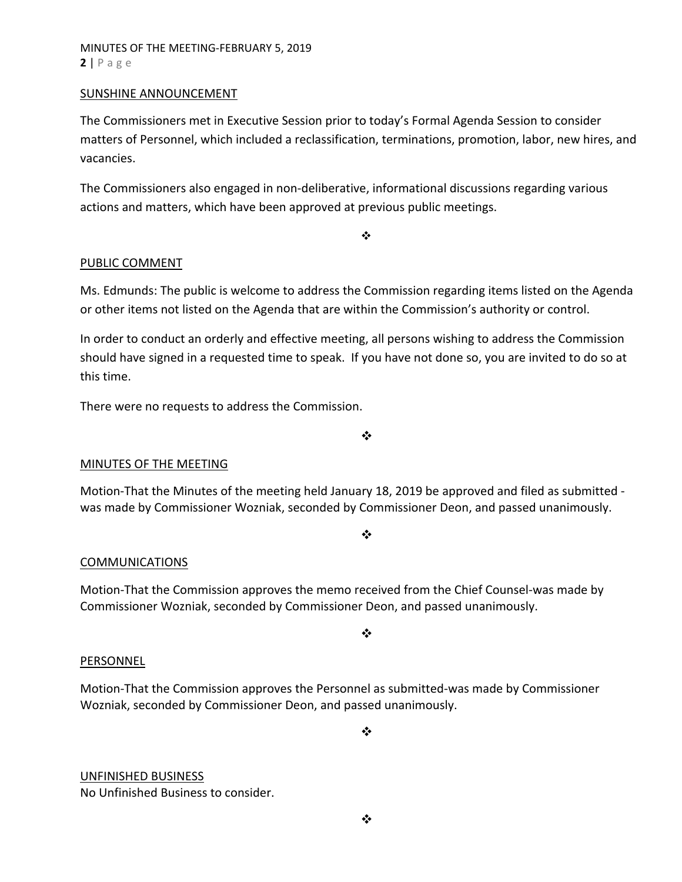# MINUTES OF THE MEETING‐FEBRUARY 5, 2019 **2** | Page

### SUNSHINE ANNOUNCEMENT

The Commissioners met in Executive Session prior to today's Formal Agenda Session to consider matters of Personnel, which included a reclassification, terminations, promotion, labor, new hires, and vacancies.

The Commissioners also engaged in non‐deliberative, informational discussions regarding various actions and matters, which have been approved at previous public meetings.

 $\frac{1}{2}$ 

# PUBLIC COMMENT

Ms. Edmunds: The public is welcome to address the Commission regarding items listed on the Agenda or other items not listed on the Agenda that are within the Commission's authority or control.

In order to conduct an orderly and effective meeting, all persons wishing to address the Commission should have signed in a requested time to speak. If you have not done so, you are invited to do so at this time.

There were no requests to address the Commission.

❖

# MINUTES OF THE MEETING

Motion‐That the Minutes of the meeting held January 18, 2019 be approved and filed as submitted ‐ was made by Commissioner Wozniak, seconded by Commissioner Deon, and passed unanimously.

#### ❖

# COMMUNICATIONS

Motion‐That the Commission approves the memo received from the Chief Counsel‐was made by Commissioner Wozniak, seconded by Commissioner Deon, and passed unanimously.

 $\frac{1}{2}$ 

# **PERSONNEL**

Motion‐That the Commission approves the Personnel as submitted‐was made by Commissioner Wozniak, seconded by Commissioner Deon, and passed unanimously.

❖

# UNFINISHED BUSINESS

No Unfinished Business to consider.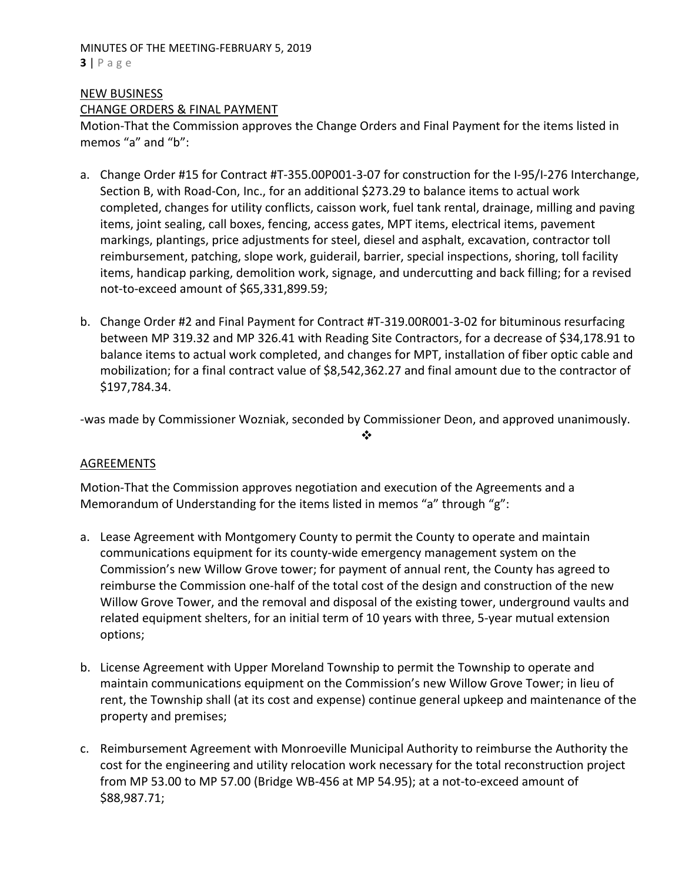### MINUTES OF THE MEETING‐FEBRUARY 5, 2019 **3** | Page

# NEW BUSINESS CHANGE ORDERS & FINAL PAYMENT

Motion‐That the Commission approves the Change Orders and Final Payment for the items listed in memos "a" and "b":

- a. Change Order #15 for Contract #T‐355.00P001‐3‐07 for construction for the I‐95/I‐276 Interchange, Section B, with Road‐Con, Inc., for an additional \$273.29 to balance items to actual work completed, changes for utility conflicts, caisson work, fuel tank rental, drainage, milling and paving items, joint sealing, call boxes, fencing, access gates, MPT items, electrical items, pavement markings, plantings, price adjustments for steel, diesel and asphalt, excavation, contractor toll reimbursement, patching, slope work, guiderail, barrier, special inspections, shoring, toll facility items, handicap parking, demolition work, signage, and undercutting and back filling; for a revised not‐to‐exceed amount of \$65,331,899.59;
- b. Change Order #2 and Final Payment for Contract #T‐319.00R001‐3‐02 for bituminous resurfacing between MP 319.32 and MP 326.41 with Reading Site Contractors, for a decrease of \$34,178.91 to balance items to actual work completed, and changes for MPT, installation of fiber optic cable and mobilization; for a final contract value of \$8,542,362.27 and final amount due to the contractor of \$197,784.34.

‐was made by Commissioner Wozniak, seconded by Commissioner Deon, and approved unanimously.

❖

# AGREEMENTS

Motion‐That the Commission approves negotiation and execution of the Agreements and a Memorandum of Understanding for the items listed in memos "a" through "g":

- a. Lease Agreement with Montgomery County to permit the County to operate and maintain communications equipment for its county‐wide emergency management system on the Commission's new Willow Grove tower; for payment of annual rent, the County has agreed to reimburse the Commission one‐half of the total cost of the design and construction of the new Willow Grove Tower, and the removal and disposal of the existing tower, underground vaults and related equipment shelters, for an initial term of 10 years with three, 5‐year mutual extension options;
- b. License Agreement with Upper Moreland Township to permit the Township to operate and maintain communications equipment on the Commission's new Willow Grove Tower; in lieu of rent, the Township shall (at its cost and expense) continue general upkeep and maintenance of the property and premises;
- c. Reimbursement Agreement with Monroeville Municipal Authority to reimburse the Authority the cost for the engineering and utility relocation work necessary for the total reconstruction project from MP 53.00 to MP 57.00 (Bridge WB‐456 at MP 54.95); at a not‐to‐exceed amount of \$88,987.71;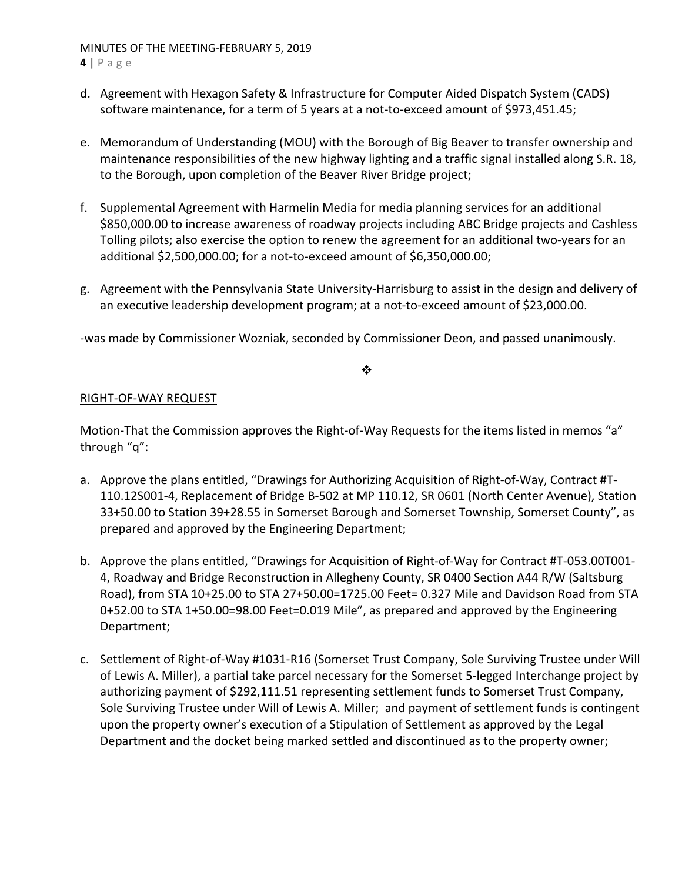# MINUTES OF THE MEETING‐FEBRUARY 5, 2019

**4** | Page

- d. Agreement with Hexagon Safety & Infrastructure for Computer Aided Dispatch System (CADS) software maintenance, for a term of 5 years at a not-to-exceed amount of \$973,451.45;
- e. Memorandum of Understanding (MOU) with the Borough of Big Beaver to transfer ownership and maintenance responsibilities of the new highway lighting and a traffic signal installed along S.R. 18, to the Borough, upon completion of the Beaver River Bridge project;
- f. Supplemental Agreement with Harmelin Media for media planning services for an additional \$850,000.00 to increase awareness of roadway projects including ABC Bridge projects and Cashless Tolling pilots; also exercise the option to renew the agreement for an additional two‐years for an additional \$2,500,000.00; for a not‐to‐exceed amount of \$6,350,000.00;
- g. Agreement with the Pennsylvania State University‐Harrisburg to assist in the design and delivery of an executive leadership development program; at a not‐to‐exceed amount of \$23,000.00.

‐was made by Commissioner Wozniak, seconded by Commissioner Deon, and passed unanimously.

❖

# RIGHT‐OF‐WAY REQUEST

Motion-That the Commission approves the Right-of-Way Requests for the items listed in memos "a" through "q":

- a. Approve the plans entitled, "Drawings for Authorizing Acquisition of Right‐of‐Way, Contract #T‐ 110.12S001‐4, Replacement of Bridge B‐502 at MP 110.12, SR 0601 (North Center Avenue), Station 33+50.00 to Station 39+28.55 in Somerset Borough and Somerset Township, Somerset County", as prepared and approved by the Engineering Department;
- b. Approve the plans entitled, "Drawings for Acquisition of Right‐of‐Way for Contract #T‐053.00T001‐ 4, Roadway and Bridge Reconstruction in Allegheny County, SR 0400 Section A44 R/W (Saltsburg Road), from STA 10+25.00 to STA 27+50.00=1725.00 Feet= 0.327 Mile and Davidson Road from STA 0+52.00 to STA 1+50.00=98.00 Feet=0.019 Mile", as prepared and approved by the Engineering Department;
- c. Settlement of Right‐of‐Way #1031‐R16 (Somerset Trust Company, Sole Surviving Trustee under Will of Lewis A. Miller), a partial take parcel necessary for the Somerset 5‐legged Interchange project by authorizing payment of \$292,111.51 representing settlement funds to Somerset Trust Company, Sole Surviving Trustee under Will of Lewis A. Miller; and payment of settlement funds is contingent upon the property owner's execution of a Stipulation of Settlement as approved by the Legal Department and the docket being marked settled and discontinued as to the property owner;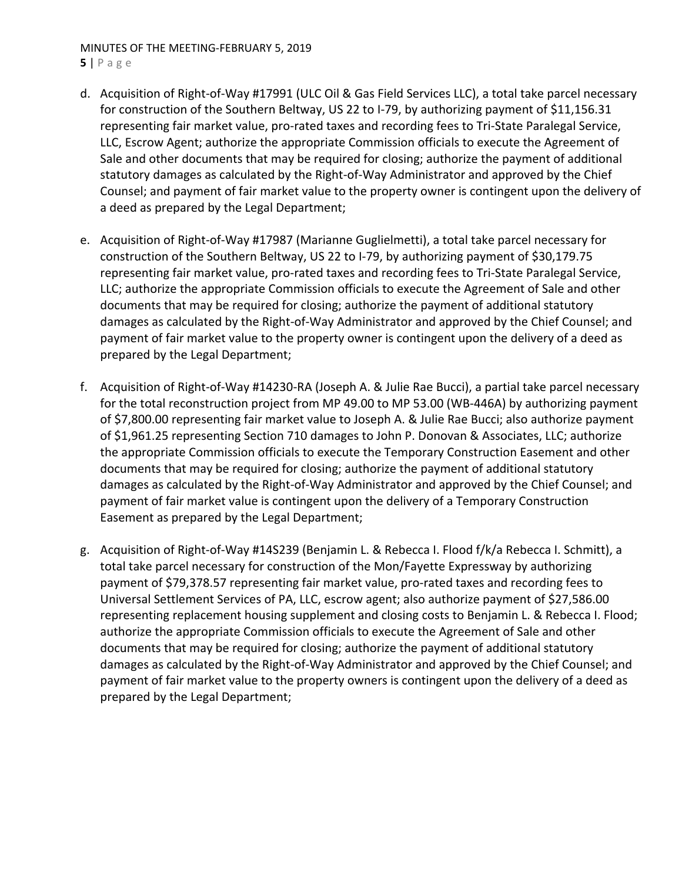# MINUTES OF THE MEETING‐FEBRUARY 5, 2019

**5** | Page

- d. Acquisition of Right‐of‐Way #17991 (ULC Oil & Gas Field Services LLC), a total take parcel necessary for construction of the Southern Beltway, US 22 to I-79, by authorizing payment of \$11,156.31 representing fair market value, pro‐rated taxes and recording fees to Tri‐State Paralegal Service, LLC, Escrow Agent; authorize the appropriate Commission officials to execute the Agreement of Sale and other documents that may be required for closing; authorize the payment of additional statutory damages as calculated by the Right‐of‐Way Administrator and approved by the Chief Counsel; and payment of fair market value to the property owner is contingent upon the delivery of a deed as prepared by the Legal Department;
- e. Acquisition of Right‐of‐Way #17987 (Marianne Guglielmetti), a total take parcel necessary for construction of the Southern Beltway, US 22 to I‐79, by authorizing payment of \$30,179.75 representing fair market value, pro-rated taxes and recording fees to Tri-State Paralegal Service, LLC; authorize the appropriate Commission officials to execute the Agreement of Sale and other documents that may be required for closing; authorize the payment of additional statutory damages as calculated by the Right‐of‐Way Administrator and approved by the Chief Counsel; and payment of fair market value to the property owner is contingent upon the delivery of a deed as prepared by the Legal Department;
- f. Acquisition of Right‐of‐Way #14230‐RA (Joseph A. & Julie Rae Bucci), a partial take parcel necessary for the total reconstruction project from MP 49.00 to MP 53.00 (WB-446A) by authorizing payment of \$7,800.00 representing fair market value to Joseph A. & Julie Rae Bucci; also authorize payment of \$1,961.25 representing Section 710 damages to John P. Donovan & Associates, LLC; authorize the appropriate Commission officials to execute the Temporary Construction Easement and other documents that may be required for closing; authorize the payment of additional statutory damages as calculated by the Right‐of‐Way Administrator and approved by the Chief Counsel; and payment of fair market value is contingent upon the delivery of a Temporary Construction Easement as prepared by the Legal Department;
- g. Acquisition of Right‐of‐Way #14S239 (Benjamin L. & Rebecca I. Flood f/k/a Rebecca I. Schmitt), a total take parcel necessary for construction of the Mon/Fayette Expressway by authorizing payment of \$79,378.57 representing fair market value, pro‐rated taxes and recording fees to Universal Settlement Services of PA, LLC, escrow agent; also authorize payment of \$27,586.00 representing replacement housing supplement and closing costs to Benjamin L. & Rebecca I. Flood; authorize the appropriate Commission officials to execute the Agreement of Sale and other documents that may be required for closing; authorize the payment of additional statutory damages as calculated by the Right‐of‐Way Administrator and approved by the Chief Counsel; and payment of fair market value to the property owners is contingent upon the delivery of a deed as prepared by the Legal Department;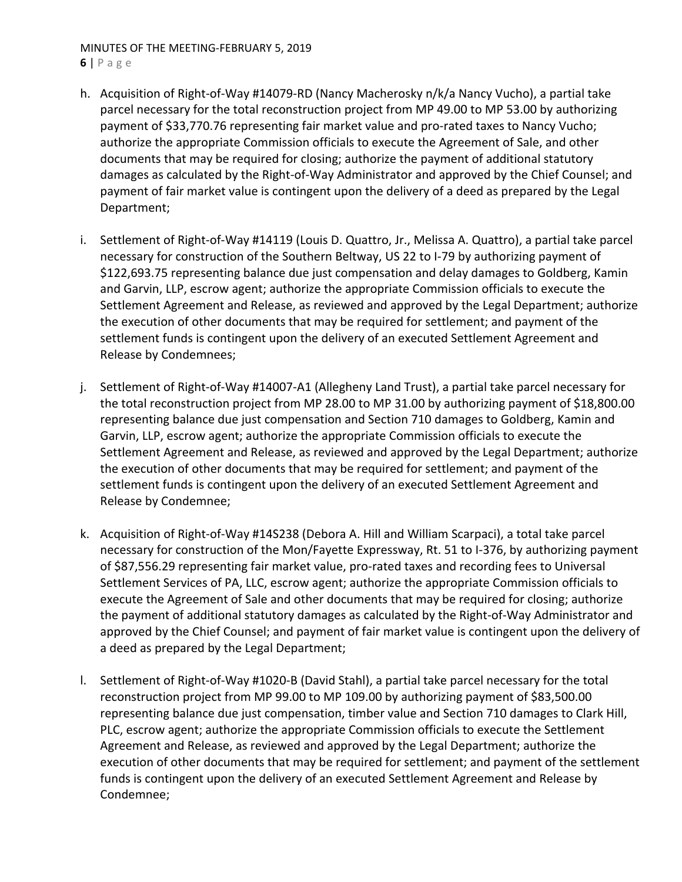### MINUTES OF THE MEETING‐FEBRUARY 5, 2019 **6** | Page

- h. Acquisition of Right‐of‐Way #14079‐RD (Nancy Macherosky n/k/a Nancy Vucho), a partial take parcel necessary for the total reconstruction project from MP 49.00 to MP 53.00 by authorizing payment of \$33,770.76 representing fair market value and pro‐rated taxes to Nancy Vucho; authorize the appropriate Commission officials to execute the Agreement of Sale, and other documents that may be required for closing; authorize the payment of additional statutory damages as calculated by the Right‐of‐Way Administrator and approved by the Chief Counsel; and payment of fair market value is contingent upon the delivery of a deed as prepared by the Legal Department;
- i. Settlement of Right‐of‐Way #14119 (Louis D. Quattro, Jr., Melissa A. Quattro), a partial take parcel necessary for construction of the Southern Beltway, US 22 to I‐79 by authorizing payment of \$122,693.75 representing balance due just compensation and delay damages to Goldberg, Kamin and Garvin, LLP, escrow agent; authorize the appropriate Commission officials to execute the Settlement Agreement and Release, as reviewed and approved by the Legal Department; authorize the execution of other documents that may be required for settlement; and payment of the settlement funds is contingent upon the delivery of an executed Settlement Agreement and Release by Condemnees;
- j. Settlement of Right-of-Way #14007-A1 (Allegheny Land Trust), a partial take parcel necessary for the total reconstruction project from MP 28.00 to MP 31.00 by authorizing payment of \$18,800.00 representing balance due just compensation and Section 710 damages to Goldberg, Kamin and Garvin, LLP, escrow agent; authorize the appropriate Commission officials to execute the Settlement Agreement and Release, as reviewed and approved by the Legal Department; authorize the execution of other documents that may be required for settlement; and payment of the settlement funds is contingent upon the delivery of an executed Settlement Agreement and Release by Condemnee;
- k. Acquisition of Right‐of‐Way #14S238 (Debora A. Hill and William Scarpaci), a total take parcel necessary for construction of the Mon/Fayette Expressway, Rt. 51 to I‐376, by authorizing payment of \$87,556.29 representing fair market value, pro-rated taxes and recording fees to Universal Settlement Services of PA, LLC, escrow agent; authorize the appropriate Commission officials to execute the Agreement of Sale and other documents that may be required for closing; authorize the payment of additional statutory damages as calculated by the Right‐of‐Way Administrator and approved by the Chief Counsel; and payment of fair market value is contingent upon the delivery of a deed as prepared by the Legal Department;
- l. Settlement of Right‐of‐Way #1020‐B (David Stahl), a partial take parcel necessary for the total reconstruction project from MP 99.00 to MP 109.00 by authorizing payment of \$83,500.00 representing balance due just compensation, timber value and Section 710 damages to Clark Hill, PLC, escrow agent; authorize the appropriate Commission officials to execute the Settlement Agreement and Release, as reviewed and approved by the Legal Department; authorize the execution of other documents that may be required for settlement; and payment of the settlement funds is contingent upon the delivery of an executed Settlement Agreement and Release by Condemnee;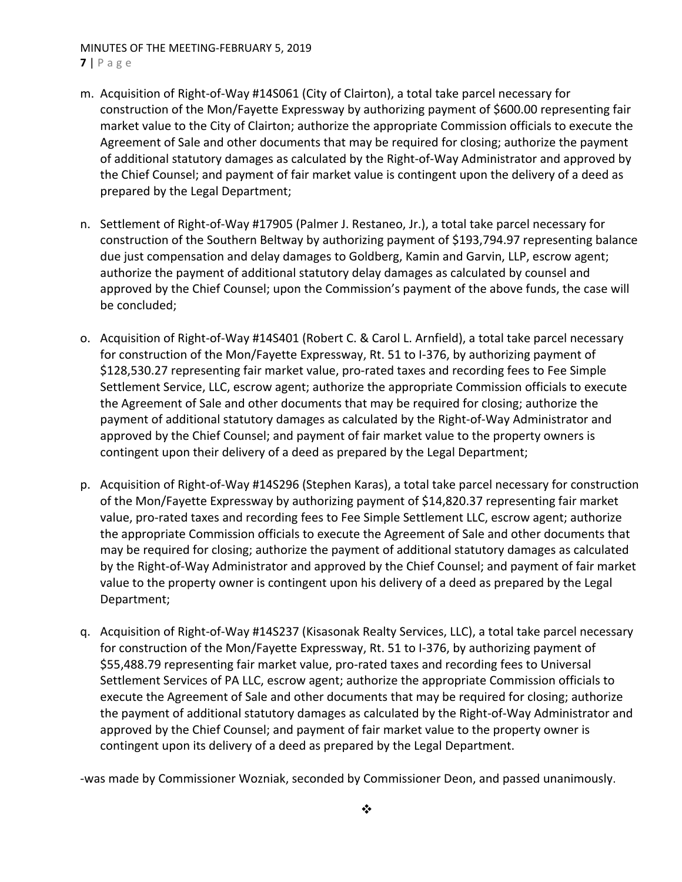### MINUTES OF THE MEETING‐FEBRUARY 5, 2019 **7** | Page

- m. Acquisition of Right‐of‐Way #14S061 (City of Clairton), a total take parcel necessary for construction of the Mon/Fayette Expressway by authorizing payment of \$600.00 representing fair market value to the City of Clairton; authorize the appropriate Commission officials to execute the Agreement of Sale and other documents that may be required for closing; authorize the payment of additional statutory damages as calculated by the Right‐of‐Way Administrator and approved by the Chief Counsel; and payment of fair market value is contingent upon the delivery of a deed as prepared by the Legal Department;
- n. Settlement of Right‐of‐Way #17905 (Palmer J. Restaneo, Jr.), a total take parcel necessary for construction of the Southern Beltway by authorizing payment of \$193,794.97 representing balance due just compensation and delay damages to Goldberg, Kamin and Garvin, LLP, escrow agent; authorize the payment of additional statutory delay damages as calculated by counsel and approved by the Chief Counsel; upon the Commission's payment of the above funds, the case will be concluded;
- o. Acquisition of Right‐of‐Way #14S401 (Robert C. & Carol L. Arnfield), a total take parcel necessary for construction of the Mon/Fayette Expressway, Rt. 51 to I‐376, by authorizing payment of \$128,530.27 representing fair market value, pro‐rated taxes and recording fees to Fee Simple Settlement Service, LLC, escrow agent; authorize the appropriate Commission officials to execute the Agreement of Sale and other documents that may be required for closing; authorize the payment of additional statutory damages as calculated by the Right‐of‐Way Administrator and approved by the Chief Counsel; and payment of fair market value to the property owners is contingent upon their delivery of a deed as prepared by the Legal Department;
- p. Acquisition of Right‐of‐Way #14S296 (Stephen Karas), a total take parcel necessary for construction of the Mon/Fayette Expressway by authorizing payment of \$14,820.37 representing fair market value, pro-rated taxes and recording fees to Fee Simple Settlement LLC, escrow agent; authorize the appropriate Commission officials to execute the Agreement of Sale and other documents that may be required for closing; authorize the payment of additional statutory damages as calculated by the Right‐of‐Way Administrator and approved by the Chief Counsel; and payment of fair market value to the property owner is contingent upon his delivery of a deed as prepared by the Legal Department;
- q. Acquisition of Right‐of‐Way #14S237 (Kisasonak Realty Services, LLC), a total take parcel necessary for construction of the Mon/Fayette Expressway, Rt. 51 to I‐376, by authorizing payment of \$55,488.79 representing fair market value, pro-rated taxes and recording fees to Universal Settlement Services of PA LLC, escrow agent; authorize the appropriate Commission officials to execute the Agreement of Sale and other documents that may be required for closing; authorize the payment of additional statutory damages as calculated by the Right‐of‐Way Administrator and approved by the Chief Counsel; and payment of fair market value to the property owner is contingent upon its delivery of a deed as prepared by the Legal Department.

‐was made by Commissioner Wozniak, seconded by Commissioner Deon, and passed unanimously.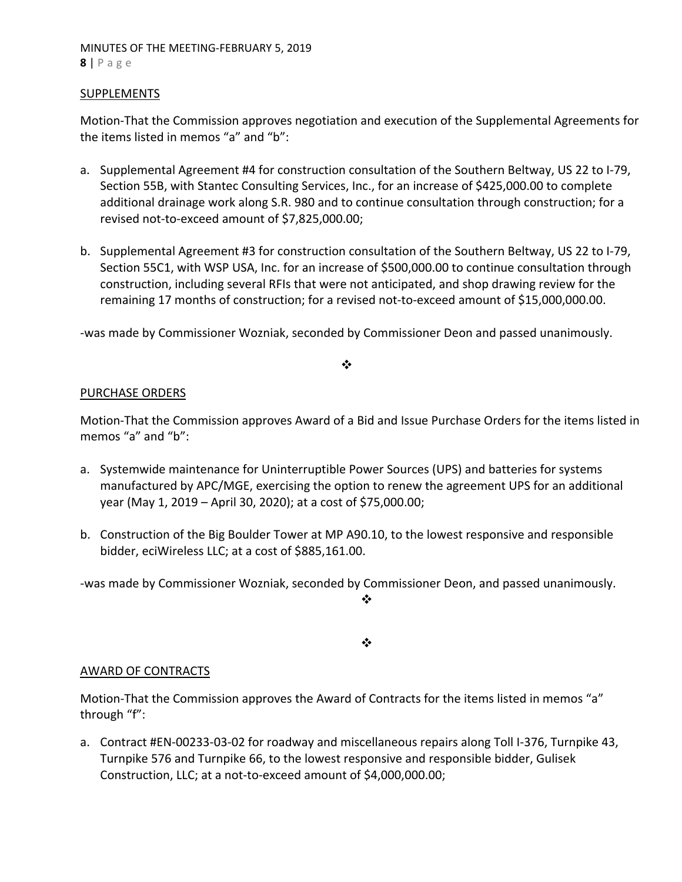# MINUTES OF THE MEETING‐FEBRUARY 5, 2019 **8** | Page

### **SUPPLEMENTS**

Motion‐That the Commission approves negotiation and execution of the Supplemental Agreements for the items listed in memos "a" and "b":

- a. Supplemental Agreement #4 for construction consultation of the Southern Beltway, US 22 to I‐79, Section 55B, with Stantec Consulting Services, Inc., for an increase of \$425,000.00 to complete additional drainage work along S.R. 980 and to continue consultation through construction; for a revised not‐to‐exceed amount of \$7,825,000.00;
- b. Supplemental Agreement #3 for construction consultation of the Southern Beltway, US 22 to I‐79, Section 55C1, with WSP USA, Inc. for an increase of \$500,000.00 to continue consultation through construction, including several RFIs that were not anticipated, and shop drawing review for the remaining 17 months of construction; for a revised not‐to‐exceed amount of \$15,000,000.00.

‐was made by Commissioner Wozniak, seconded by Commissioner Deon and passed unanimously.

❖

### PURCHASE ORDERS

Motion‐That the Commission approves Award of a Bid and Issue Purchase Orders for the items listed in memos "a" and "b":

- a. Systemwide maintenance for Uninterruptible Power Sources (UPS) and batteries for systems manufactured by APC/MGE, exercising the option to renew the agreement UPS for an additional year (May 1, 2019 – April 30, 2020); at a cost of \$75,000.00;
- b. Construction of the Big Boulder Tower at MP A90.10, to the lowest responsive and responsible bidder, eciWireless LLC; at a cost of \$885,161.00.

‐was made by Commissioner Wozniak, seconded by Commissioner Deon, and passed unanimously.

 $\mathbf{r}^{\bullet}_{\mathbf{a}^{\bullet}}$ 

❖

# AWARD OF CONTRACTS

Motion-That the Commission approves the Award of Contracts for the items listed in memos "a" through "f":

a. Contract #EN‐00233‐03‐02 for roadway and miscellaneous repairs along Toll I‐376, Turnpike 43, Turnpike 576 and Turnpike 66, to the lowest responsive and responsible bidder, Gulisek Construction, LLC; at a not‐to‐exceed amount of \$4,000,000.00;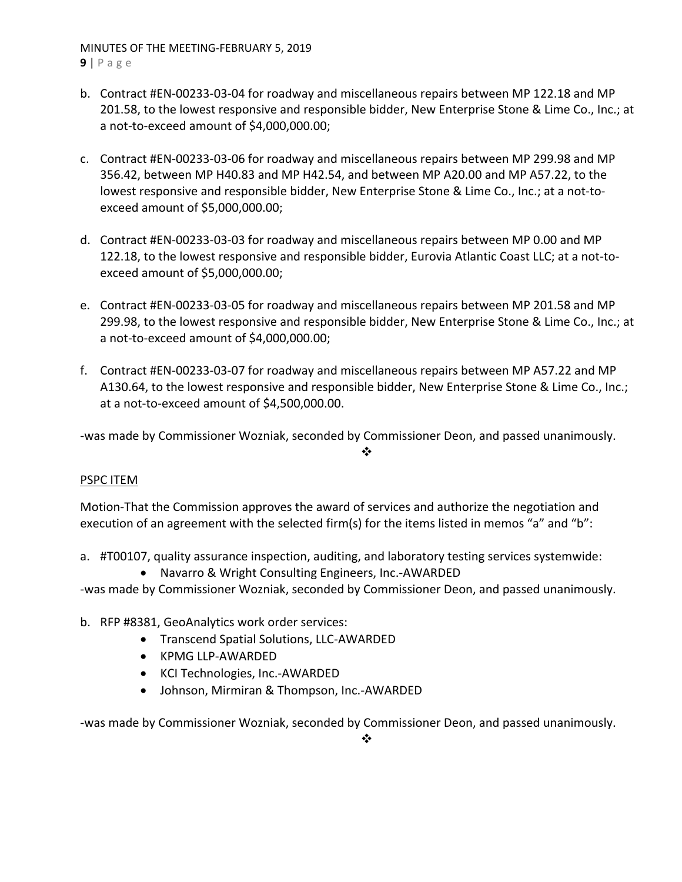MINUTES OF THE MEETING‐FEBRUARY 5, 2019 **9** | Page

- b. Contract #EN‐00233‐03‐04 for roadway and miscellaneous repairs between MP 122.18 and MP 201.58, to the lowest responsive and responsible bidder, New Enterprise Stone & Lime Co., Inc.; at a not‐to‐exceed amount of \$4,000,000.00;
- c. Contract #EN‐00233‐03‐06 for roadway and miscellaneous repairs between MP 299.98 and MP 356.42, between MP H40.83 and MP H42.54, and between MP A20.00 and MP A57.22, to the lowest responsive and responsible bidder, New Enterprise Stone & Lime Co., Inc.; at a not‐to‐ exceed amount of \$5,000,000.00;
- d. Contract #EN‐00233‐03‐03 for roadway and miscellaneous repairs between MP 0.00 and MP 122.18, to the lowest responsive and responsible bidder, Eurovia Atlantic Coast LLC; at a not‐to‐ exceed amount of \$5,000,000.00;
- e. Contract #EN‐00233‐03‐05 for roadway and miscellaneous repairs between MP 201.58 and MP 299.98, to the lowest responsive and responsible bidder, New Enterprise Stone & Lime Co., Inc.; at a not‐to‐exceed amount of \$4,000,000.00;
- f. Contract #EN‐00233‐03‐07 for roadway and miscellaneous repairs between MP A57.22 and MP A130.64, to the lowest responsive and responsible bidder, New Enterprise Stone & Lime Co., Inc.; at a not‐to‐exceed amount of \$4,500,000.00.

‐was made by Commissioner Wozniak, seconded by Commissioner Deon, and passed unanimously.

❖

# PSPC ITEM

Motion‐That the Commission approves the award of services and authorize the negotiation and execution of an agreement with the selected firm(s) for the items listed in memos "a" and "b":

- a. #T00107, quality assurance inspection, auditing, and laboratory testing services systemwide:
	- Navarro & Wright Consulting Engineers, Inc.-AWARDED

‐was made by Commissioner Wozniak, seconded by Commissioner Deon, and passed unanimously.

- b. RFP #8381, GeoAnalytics work order services:
	- Transcend Spatial Solutions, LLC-AWARDED
	- KPMG LLP-AWARDED
	- KCI Technologies, Inc.-AWARDED
	- Johnson, Mirmiran & Thompson, Inc.-AWARDED

‐was made by Commissioner Wozniak, seconded by Commissioner Deon, and passed unanimously.